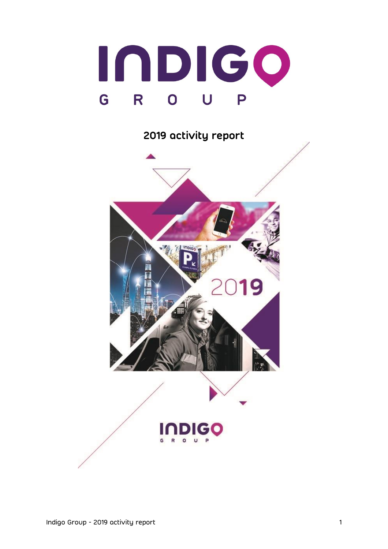

# **2019 activity report**

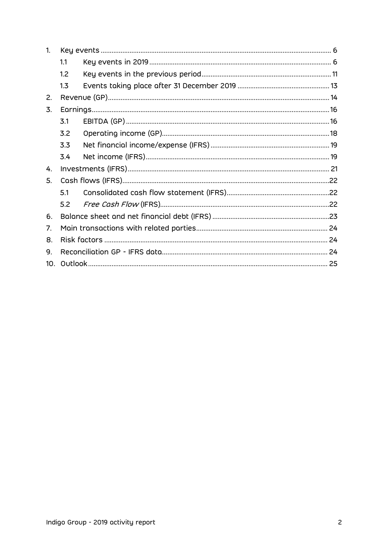| 1.              |     |  |  |  |  |
|-----------------|-----|--|--|--|--|
|                 | 1.1 |  |  |  |  |
|                 | 1.2 |  |  |  |  |
|                 | 1.3 |  |  |  |  |
| 2.              |     |  |  |  |  |
| 3.              |     |  |  |  |  |
|                 | 3.1 |  |  |  |  |
|                 | 3.2 |  |  |  |  |
|                 | 3.3 |  |  |  |  |
|                 | 3.4 |  |  |  |  |
| 4.              |     |  |  |  |  |
| 5.              |     |  |  |  |  |
|                 | 5.1 |  |  |  |  |
|                 | 5.2 |  |  |  |  |
| 6.              |     |  |  |  |  |
| 7.              |     |  |  |  |  |
| 8.              |     |  |  |  |  |
| 9.              |     |  |  |  |  |
| 10 <sub>1</sub> |     |  |  |  |  |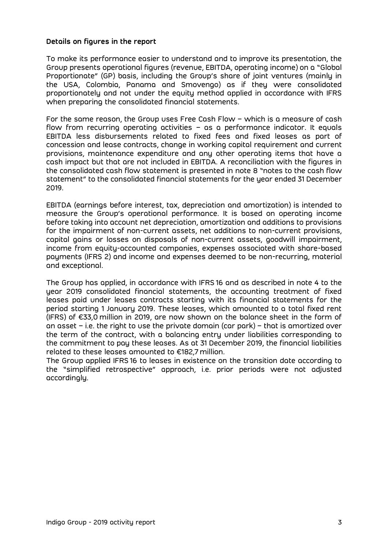#### **Details on figures in the report**

To make its performance easier to understand and to improve its presentation, the Group presents operational figures (revenue, EBITDA, operating income) on a "Global Proportionate" (GP) basis, including the Group's share of joint ventures (mainly in the USA, Colombia, Panama and Smovengo) as if they were consolidated proportionately and not under the equity method applied in accordance with IFRS when preparing the consolidated financial statements.

For the same reason, the Group uses Free Cash Flow – which is a measure of cash flow from recurring operating activities – as a performance indicator. It equals EBITDA less disbursements related to fixed fees and fixed leases as part of concession and lease contracts, change in working capital requirement and current provisions, maintenance expenditure and any other operating items that have a cash impact but that are not included in EBITDA. A reconciliation with the figures in the consolidated cash flow statement is presented in note 8 "notes to the cash flow statement" to the consolidated financial statements for the year ended 31 December 2019.

EBITDA (earnings before interest, tax, depreciation and amortization) is intended to measure the Group's operational performance. It is based on operating income before taking into account net depreciation, amortization and additions to provisions for the impairment of non-current assets, net additions to non-current provisions, capital gains or losses on disposals of non-current assets, goodwill impairment, income from equity-accounted companies, expenses associated with share-based payments (IFRS 2) and income and expenses deemed to be non-recurring, material and exceptional.

The Group has applied, in accordance with IFRS 16 and as described in note 4 to the year 2019 consolidated financial statements, the accounting treatment of fixed leases paid under leases contracts starting with its financial statements for the period starting 1 January 2019. These leases, which amounted to a total fixed rent (IFRS) of €33,0 million in 2019, are now shown on the balance sheet in the form of an asset  $-$  i.e. the right to use the private domain (car park)  $-$  that is amortized over the term of the contract, with a balancing entry under liabilities corresponding to the commitment to pay these leases. As at 31 December 2019, the financial liabilities related to these leases amounted to €182,7 million.

The Group applied IFRS 16 to leases in existence on the transition date according to the "simplified retrospective" approach, i.e. prior periods were not adjusted accordingly.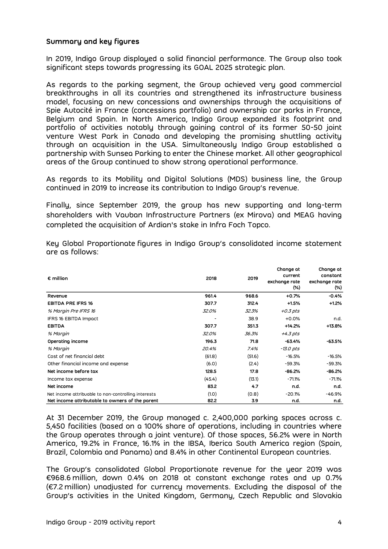# **Summary and key figures**

In 2019, Indigo Group displayed a solid financial performance. The Group also took significant steps towards progressing its GOAL 2025 strategic plan.

As regards to the parking segment, the Group achieved very good commercial breakthroughs in all its countries and strengthened its infrastructure business model, focusing on new concessions and ownerships through the acquisitions of Spie Autocité in France (concessions portfolio) and ownership car parks in France, Belgium and Spain. In North America, Indigo Group expanded its footprint and portfolio of activities notably through gaining control of its former 50-50 joint venture West Park in Canada and developing the promising shuttling activity through an acquisition in the USA. Simultaneously Indigo Group established a partnership with Sunsea Parking to enter the Chinese market. All other geographical areas of the Group continued to show strong operational performance.

As regards to its Mobility and Digital Solutions (MDS) business line, the Group continued in 2019 to increase its contribution to Indigo Group's revenue.

Finally, since September 2019, the group has new supporting and long-term shareholders with Vauban Infrastructure Partners (ex Mirova) and MEAG having completed the acquisition of Ardian's stake in Infra Foch Topco.

| $\epsilon$ million                                  | 2018   | 2019   | Change at<br>current<br>exchange rate<br>$(\%)$ | Change at<br>constant<br>exchange rate<br>(%) |
|-----------------------------------------------------|--------|--------|-------------------------------------------------|-----------------------------------------------|
| Revenue                                             | 961.4  | 968.6  | $+0.7%$                                         | $-0.4%$                                       |
| <b>EBITDA PRE IFRS 16</b>                           | 307.7  | 312.4  | $+1.5%$                                         | $+1.2%$                                       |
| % Margin Pre IFRS 16                                | 32.0%  | 32.3%  | $+0.3$ pts                                      |                                               |
| IFRS 16 EBITDA Impact                               |        | 38.9   | $+0.0%$                                         | n.d.                                          |
| <b>EBITDA</b>                                       | 307.7  | 351.3  | $+14.2%$                                        | +13.8%                                        |
| % Margin                                            | 32.0%  | 36.3%  | +4.3 pts                                        |                                               |
| Operating income                                    | 196.3  | 71.8   | $-63.4%$                                        | -63.5%                                        |
| % Margin                                            | 20.4%  | 7.4%   | $-13.0$ pts                                     |                                               |
| Cost of net financial debt                          | (61.8) | (51.6) | $-16.5%$                                        | $-16.5%$                                      |
| Other financial income and expense                  | (6.0)  | (2.4)  | $-59.3%$                                        | $-59.3%$                                      |
| Net income before tax                               | 128.5  | 17.8   | $-86.2%$                                        | $-86.2%$                                      |
| Income tax expense                                  | (45.4) | (13.1) | $-71.1%$                                        | $-71.1%$                                      |
| Net income                                          | 83.2   | 4.7    | n.d.                                            | n.d.                                          |
| Net income attribuable to non-controlling interests | (1.0)  | (0.8)  | $-20.1%$                                        | $-46.9%$                                      |
| Net income attributable to owners of the parent     | 82.2   | 3.9    | n.d.                                            | n.d.                                          |

Key Global Proportionate figures in Indigo Group's consolidated income statement are as follows:

At 31 December 2019, the Group managed c. 2,400,000 parking spaces across c. 5,450 facilities (based on a 100% share of operations, including in countries where the Group operates through a joint venture). Of those spaces, 56.2% were in North America, 19.2% in France, 16.1% in the IBSA, Iberica South America region (Spain, Brazil, Colombia and Panama) and 8.4% in other Continental European countries.

The Group's consolidated Global Proportionate revenue for the year 2019 was €968.6 million, down 0.4% on 2018 at constant exchange rates and up 0.7% (€7.2 million) unadjusted for currency movements. Excluding the disposal of the Group's activities in the United Kingdom, Germany, Czech Republic and Slovakia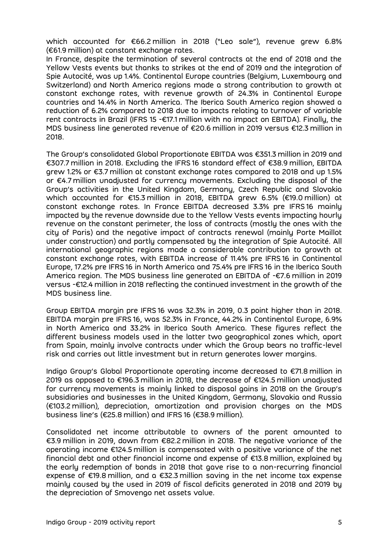which accounted for €66.2 million in 2018 ("Leo sale"), revenue grew 6.8% (€61.9 million) at constant exchange rates.

In France, despite the termination of several contracts at the end of 2018 and the Yellow Vests events but thanks to strikes at the end of 2019 and the integration of Spie Autocité, was up 1.4%. Continental Europe countries (Belgium, Luxembourg and Switzerland) and North America regions made a strong contribution to growth at constant exchange rates, with revenue growth of 24.3% in Continental Europe countries and 14.4% in North America. The Iberica South America region showed a reduction of 6.2% compared to 2018 due to impacts relating to turnover of variable rent contracts in Brazil (IFRS 15 -€17.1 million with no impact on EBITDA). Finally, the MDS business line generated revenue of €20.6 million in 2019 versus €12.3 million in 2018.

The Group's consolidated Global Proportionate EBITDA was €351.3 million in 2019 and €307.7 million in 2018. Excluding the IFRS 16 standard effect of €38.9 million, EBITDA grew 1.2% or €3.7 million at constant exchange rates compared to 2018 and up 1.5% or €4.7 million unadjusted for currency movements. Excluding the disposal of the Group's activities in the United Kingdom, Germany, Czech Republic and Slovakia which accounted for €15.3 million in 2018, EBITDA grew 6.5% (€19.0 million) at constant exchange rates. In France EBITDA decreased 3.3% pre IFRS 16 mainly impacted by the revenue downside due to the Yellow Vests events impacting hourly revenue on the constant perimeter, the loss of contracts (mostly the ones with the city of Paris) and the negative impact of contracts renewal (mainly Porte Maillot under construction) and partly compensated by the integration of Spie Autocité. All international geographic regions made a considerable contribution to growth at constant exchange rates, with EBITDA increase of 11.4% pre IFRS 16 in Continental Europe, 17.2% pre IFRS 16 in North America and 75.4% pre IFRS 16 in the Iberica South America region. The MDS business line generated an EBITDA of -€7.6 million in 2019 versus -€12.4 million in 2018 reflecting the continued investment in the growth of the MDS business line.

Group EBITDA margin pre IFRS 16 was 32.3% in 2019, 0.3 point higher than in 2018. EBITDA margin pre IFRS 16, was 52.3% in France, 44.2% in Continental Europe, 6.9% in North America and 33.2% in Iberica South America. These figures reflect the different business models used in the latter two geographical zones which, apart from Spain, mainly involve contracts under which the Group bears no traffic-level risk and carries out little investment but in return generates lower margins.

Indigo Group's Global Proportionate operating income decreased to €71.8 million in 2019 as opposed to €196.3 million in 2018, the decrease of €124.5 million unadjusted for currency movements is mainly linked to disposal gains in 2018 on the Group's subsidiaries and businesses in the United Kingdom, Germany, Slovakia and Russia (€103.2 million), depreciation, amortization and provision charges on the MDS business line's (€25.8 million) and IFRS 16 (€38.9 million).

Consolidated net income attributable to owners of the parent amounted to €3.9 million in 2019, down from €82.2 million in 2018. The negative variance of the operating income €124.5 million is compensated with a positive variance of the net financial debt and other financial income and expense of €13.8 million, explained by the early redemption of bonds in 2018 that gave rise to a non-recurring financial expense of €19.8 million, and a €32.3 million saving in the net income tax expense mainly caused by the used in 2019 of fiscal deficits generated in 2018 and 2019 by the depreciation of Smovengo net assets value.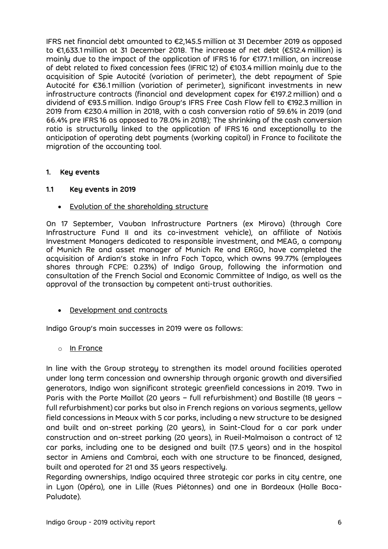IFRS net financial debt amounted to €2,145.5 million at 31 December 2019 as opposed to €1,633.1 million at 31 December 2018. The increase of net debt (€512.4 million) is mainly due to the impact of the application of IFRS 16 for €177.1 million, an increase of debt related to fixed concession fees (IFRIC 12) of €103.4 million mainly due to the acquisition of Spie Autocité (variation of perimeter), the debt repayment of Spie Autocité for €36.1 million (variation of perimeter), significant investments in new infrastructure contracts (financial and development capex for €197.2 million) and a dividend of €93.5 million. Indigo Group's IFRS Free Cash Flow fell to €192.3 million in 2019 from €230.4 million in 2018, with a cash conversion ratio of 59.6% in 2019 (and 66.4% pre IFRS 16 as opposed to 78.0% in 2018); The shrinking of the cash conversion ratio is structurally linked to the application of IFRS 16 and exceptionally to the anticipation of operating debt payments (working capital) in France to facilitate the migration of the accounting tool.

## <span id="page-5-0"></span>**1. Key events**

## <span id="page-5-1"></span>**1.1 Key events in 2019**

• Evolution of the shareholding structure

On 17 September, Vauban Infrastructure Partners (ex Mirova) (through Core Infrastructure Fund II and its co-investment vehicle), an affiliate of Natixis Investment Managers dedicated to responsible investment, and MEAG, a company of Munich Re and asset manager of Munich Re and ERGO, have completed the acquisition of Ardian's stake in Infra Foch Topco, which owns 99.77% (employees shares through FCPE: 0.23%) of Indigo Group, following the information and consultation of the French Social and Economic Committee of Indigo, as well as the approval of the transaction by competent anti-trust authorities.

• Development and contracts

Indigo Group's main successes in 2019 were as follows:

o In France

In line with the Group strategy to strengthen its model around facilities operated under long term concession and ownership through organic growth and diversified generators, Indigo won significant strategic greenfield concessions in 2019. Two in Paris with the Porte Maillot (20 years – full refurbishment) and Bastille (18 years – full refurbishment) car parks but also in French regions on various segments, yellow field concessions in Meaux with 5 car parks, including a new structure to be designed and built and on-street parking (20 years), in Saint-Cloud for a car park under construction and on-street parking (20 years), in Rueil-Malmaison a contract of 12 car parks, including one to be designed and built (17.5 years) and in the hospital sector in Amiens and Cambrai, each with one structure to be financed, designed, built and operated for 21 and 35 years respectively.

Regarding ownerships, Indigo acquired three strategic car parks in city centre, one in Lyon (Opéra), one in Lille (Rues Piétonnes) and one in Bordeaux (Halle Boca-Paludate).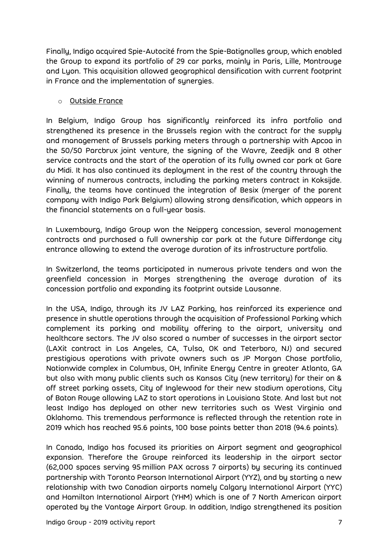Finally, Indigo acquired Spie-Autocité from the Spie-Batignolles group, which enabled the Group to expand its portfolio of 29 car parks, mainly in Paris, Lille, Montrouge and Lyon. This acquisition allowed geographical densification with current footprint in France and the implementation of synergies.

# o Outside France

In Belgium, Indigo Group has significantly reinforced its infra portfolio and strengthened its presence in the Brussels region with the contract for the supply and management of Brussels parking meters through a partnership with Apcoa in the 50/50 Parcbrux joint venture, the signing of the Wavre, Zeedijk and 8 other service contracts and the start of the operation of its fully owned car park at Gare du Midi. It has also continued its deployment in the rest of the country through the winning of numerous contracts, including the parking meters contract in Koksijde. Finally, the teams have continued the integration of Besix (merger of the parent company with Indigo Park Belgium) allowing strong densification, which appears in the financial statements on a full-year basis.

In Luxembourg, Indigo Group won the Neipperg concession, several management contracts and purchased a full ownership car park at the future Differdange city entrance allowing to extend the average duration of its infrastructure portfolio.

In Switzerland, the teams participated in numerous private tenders and won the greenfield concession in Morges strengthening the average duration of its concession portfolio and expanding its footprint outside Lausanne.

In the USA, Indigo, through its JV LAZ Parking, has reinforced its experience and presence in shuttle operations through the acquisition of Professional Parking which complement its parking and mobility offering to the airport, university and healthcare sectors. The JV also scored a number of successes in the airport sector (LAXit contract in Los Angeles, CA, Tulsa, OK and Teterboro, NJ) and secured prestigious operations with private owners such as JP Morgan Chase portfolio, Nationwide complex in Columbus, OH, Infinite Energy Centre in greater Atlanta, GA but also with many public clients such as Kansas City (new territory) for their on & off street parking assets, City of Inglewood for their new stadium operations, City of Baton Rouge allowing LAZ to start operations in Louisiana State. And last but not least Indigo has deployed on other new territories such as West Virginia and Oklahoma. This tremendous performance is reflected through the retention rate in 2019 which has reached 95.6 points, 100 base points better than 2018 (94.6 points).

In Canada, Indigo has focused its priorities on Airport segment and geographical expansion. Therefore the Groupe reinforced its leadership in the airport sector (62,000 spaces serving 95 million PAX across 7 airports) by securing its continued partnership with Toronto Pearson International Airport (YYZ), and by starting a new relationship with two Canadian airports namely Calgary International Airport (YYC) and Hamilton International Airport (YHM) which is one of 7 North American airport operated by the Vantage Airport Group. In addition, Indigo strengthened its position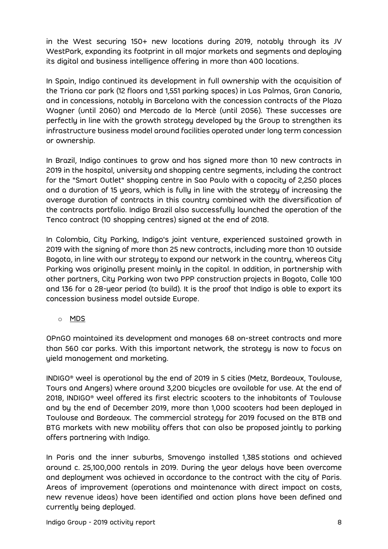in the West securing 150+ new locations during 2019, notably through its JV WestPark, expanding its footprint in all major markets and segments and deploying its digital and business intelligence offering in more than 400 locations.

In Spain, Indigo continued its development in full ownership with the acquisition of the Triana car park (12 floors and 1,551 parking spaces) in Las Palmas, Gran Canaria, and in concessions, notably in Barcelona with the concession contracts of the Plaza Wagner (until 2060) and Mercado de la Mercè (until 2056). These successes are perfectly in line with the growth strategy developed by the Group to strengthen its infrastructure business model around facilities operated under long term concession or ownership.

In Brazil, Indigo continues to grow and has signed more than 10 new contracts in 2019 in the hospital, university and shopping centre segments, including the contract for the "Smart Outlet" shopping centre in Sao Paulo with a capacity of 2,250 places and a duration of 15 years, which is fully in line with the strategy of increasing the average duration of contracts in this country combined with the diversification of the contracts portfolio. Indigo Brazil also successfully launched the operation of the Tenco contract (10 shopping centres) signed at the end of 2018.

In Colombia, City Parking, Indigo's joint venture, experienced sustained growth in 2019 with the signing of more than 25 new contracts, including more than 10 outside Bogota, in line with our strategy to expand our network in the country, whereas City Parking was originally present mainly in the capital. In addition, in partnership with other partners, City Parking won two PPP construction projects in Bogota, Calle 100 and 136 for a 28-year period (to build). It is the proof that Indigo is able to export its concession business model outside Europe.

# o MDS

OPnGO maintained its development and manages 68 on-street contracts and more than 560 car parks. With this important network, the strategy is now to focus on yield management and marketing.

INDIGO® weel is operational by the end of 2019 in 5 cities (Metz, Bordeaux, Toulouse, Tours and Angers) where around 3,200 bicycles are available for use. At the end of 2018, INDIGO® weel offered its first electric scooters to the inhabitants of Toulouse and by the end of December 2019, more than 1,000 scooters had been deployed in Toulouse and Bordeaux. The commercial strategy for 2019 focused on the BTB and BTG markets with new mobility offers that can also be proposed jointly to parking offers partnering with Indigo.

In Paris and the inner suburbs, Smovengo installed 1,385 stations and achieved around c. 25,100,000 rentals in 2019. During the year delays have been overcome and deployment was achieved in accordance to the contract with the city of Paris. Areas of improvement (operations and maintenance with direct impact on costs, new revenue ideas) have been identified and action plans have been defined and currently being deployed.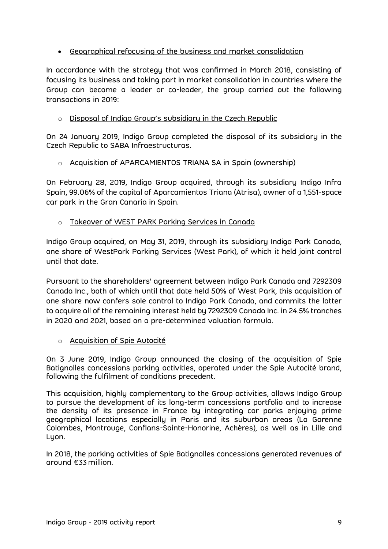# • Geographical refocusing of the business and market consolidation

In accordance with the strategy that was confirmed in March 2018, consisting of focusing its business and taking part in market consolidation in countries where the Group can become a leader or co-leader, the group carried out the following transactions in 2019:

# o Disposal of Indigo Group's subsidiary in the Czech Republic

On 24 January 2019, Indigo Group completed the disposal of its subsidiary in the Czech Republic to SABA Infraestructuras.

# o Acquisition of APARCAMIENTOS TRIANA SA in Spain (ownership)

On February 28, 2019, Indigo Group acquired, through its subsidiary Indigo Infra Spain, 99.06% of the capital of Aparcamientos Triana (Atrisa), owner of a 1,551-space car park in the Gran Canaria in Spain.

# o Takeover of WEST PARK Parking Services in Canada

Indigo Group acquired, on May 31, 2019, through its subsidiary Indigo Park Canada, one share of WestPark Parking Services (West Park), of which it held joint control until that date.

Pursuant to the shareholders' agreement between Indigo Park Canada and 7292309 Canada Inc., both of which until that date held 50% of West Park, this acquisition of one share now confers sole control to Indigo Park Canada, and commits the latter to acquire all of the remaining interest held by 7292309 Canada Inc. in 24.5% tranches in 2020 and 2021, based on a pre-determined valuation formula.

# o Acquisition of Spie Autocité

On 3 June 2019, Indigo Group announced the closing of the acquisition of Spie Batignolles concessions parking activities, operated under the Spie Autocité brand, following the fulfilment of conditions precedent.

This acquisition, highly complementary to the Group activities, allows Indigo Group to pursue the development of its long-term concessions portfolio and to increase the density of its presence in France by integrating car parks enjoying prime geographical locations especially in Paris and its suburban areas (La Garenne Colombes, Montrouge, Conflans-Sainte-Honorine, Achères), as well as in Lille and Lyon.

In 2018, the parking activities of Spie Batignolles concessions generated revenues of around €33 million.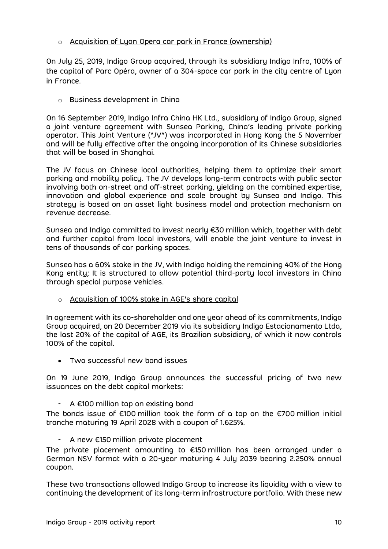# o Acquisition of Lyon Opera car park in France (ownership)

On July 25, 2019, Indigo Group acquired, through its subsidiary Indigo Infra, 100% of the capital of Parc Opéra, owner of a 304-space car park in the city centre of Lyon in France.

# o Business development in China

On 16 September 2019, Indigo Infra China HK Ltd., subsidiary of Indigo Group, signed a joint venture agreement with Sunsea Parking, China's leading private parking operator. This Joint Venture ("JV") was incorporated in Hong Kong the 5 November and will be fully effective after the ongoing incorporation of its Chinese subsidiaries that will be based in Shanghai.

The JV focus on Chinese local authorities, helping them to optimize their smart parking and mobility policy. The JV develops long-term contracts with public sector involving both on-street and off-street parking, yielding on the combined expertise, innovation and global experience and scale brought by Sunsea and Indigo. This strategy is based on an asset light business model and protection mechanism on revenue decrease.

Sunsea and Indigo committed to invest nearly €30 million which, together with debt and further capital from local investors, will enable the joint venture to invest in tens of thousands of car parking spaces.

Sunsea has a 60% stake in the JV, with Indigo holding the remaining 40% of the Hong Kong entity; It is structured to allow potential third-party local investors in China through special purpose vehicles.

o Acquisition of 100% stake in AGE's share capital

In agreement with its co-shareholder and one year ahead of its commitments, Indigo Group acquired, on 20 December 2019 via its subsidiary Indigo Estacionamento Ltda, the last 20% of the capital of AGE, its Brazilian subsidiary, of which it now controls 100% of the capital.

• Two successful new bond issues

On 19 June 2019, Indigo Group announces the successful pricing of two new issuances on the debt capital markets:

 $A \in 100$  million tap on existing bond

The bonds issue of €100 million took the form of a tap on the €700 million initial tranche maturing 19 April 2028 with a coupon of 1.625%.

- A new €150 million private placement

The private placement amounting to €150 million has been arranged under a German NSV format with a 20-year maturing 4 July 2039 bearing 2.250% annual coupon.

These two transactions allowed Indigo Group to increase its liquidity with a view to continuing the development of its long-term infrastructure portfolio. With these new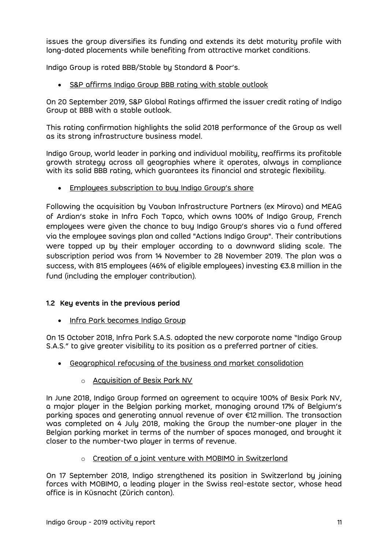issues the group diversifies its funding and extends its debt maturity profile with long-dated placements while benefiting from attractive market conditions.

Indigo Group is rated BBB/Stable by Standard & Poor's.

• S&P affirms Indigo Group BBB rating with stable outlook

On 20 September 2019, S&P Global Ratings affirmed the issuer credit rating of Indigo Group at BBB with a stable outlook.

This rating confirmation highlights the solid 2018 performance of the Group as well as its strong infrastructure business model.

Indigo Group, world leader in parking and individual mobility, reaffirms its profitable growth strategy across all geographies where it operates, always in compliance with its solid BBB rating, which guarantees its financial and strategic flexibility.

• Employees subscription to buy Indigo Group's share

Following the acquisition by Vauban Infrastructure Partners (ex Mirova) and MEAG of Ardian's stake in Infra Foch Topco, which owns 100% of Indigo Group, French employees were given the chance to buy Indigo Group's shares via a fund offered via the employee savings plan and called "Actions Indigo Group". Their contributions were topped up by their employer according to a downward sliding scale. The subscription period was from 14 November to 28 November 2019. The plan was a success, with 815 employees (46% of eligible employees) investing €3.8 million in the fund (including the employer contribution).

# <span id="page-10-0"></span>**1.2 Key events in the previous period**

• Infra Park becomes Indigo Group

On 15 October 2018, Infra Park S.A.S. adopted the new corporate name "Indigo Group S.A.S." to give greater visibility to its position as a preferred partner of cities.

- Geographical refocusing of the business and market consolidation
	- o Acquisition of Besix Park NV

In June 2018, Indigo Group formed an agreement to acquire 100% of Besix Park NV, a major player in the Belgian parking market, managing around 17% of Belgium's parking spaces and generating annual revenue of over €12 million. The transaction was completed on 4 July 2018, making the Group the number-one player in the Belgian parking market in terms of the number of spaces managed, and brought it closer to the number-two player in terms of revenue.

o Creation of a joint venture with MOBIMO in Switzerland

On 17 September 2018, Indigo strengthened its position in Switzerland by joining forces with MOBIMO, a leading player in the Swiss real-estate sector, whose head office is in Küsnacht (Zürich canton).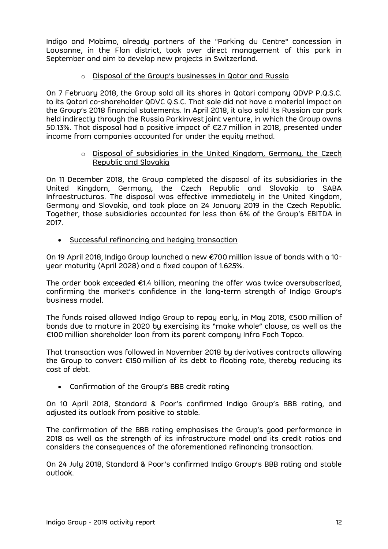Indigo and Mobimo, already partners of the "Parking du Centre" concession in Lausanne, in the Flon district, took over direct management of this park in September and aim to develop new projects in Switzerland.

# o Disposal of the Group's businesses in Qatar and Russia

On 7 February 2018, the Group sold all its shares in Qatari company QDVP P.Q.S.C. to its Qatari co-shareholder QDVC Q.S.C. That sale did not have a material impact on the Group's 2018 financial statements. In April 2018, it also sold its Russian car park held indirectly through the Russia Parkinvest joint venture, in which the Group owns 50.13%. That disposal had a positive impact of €2.7 million in 2018, presented under income from companies accounted for under the equity method.

#### o Disposal of subsidiaries in the United Kingdom, Germany, the Czech Republic and Slovakia

On 11 December 2018, the Group completed the disposal of its subsidiaries in the United Kingdom, Germany, the Czech Republic and Slovakia to SABA Infraestructuras. The disposal was effective immediately in the United Kingdom, Germany and Slovakia, and took place on 24 January 2019 in the Czech Republic. Together, those subsidiaries accounted for less than 6% of the Group's EBITDA in 2017.

• Successful refinancing and hedging transaction

On 19 April 2018, Indigo Group launched a new €700 million issue of bonds with a 10 year maturity (April 2028) and a fixed coupon of 1.625%.

The order book exceeded €1.4 billion, meaning the offer was twice oversubscribed, confirming the market's confidence in the long-term strength of Indigo Group's business model.

The funds raised allowed Indigo Group to repay early, in May 2018, €500 million of bonds due to mature in 2020 by exercising its "make whole" clause, as well as the €100 million shareholder loan from its parent company Infra Foch Topco.

That transaction was followed in November 2018 by derivatives contracts allowing the Group to convert €150 million of its debt to floating rate, thereby reducing its cost of debt.

#### • Confirmation of the Group's BBB credit rating

On 10 April 2018, Standard & Poor's confirmed Indigo Group's BBB rating, and adjusted its outlook from positive to stable.

The confirmation of the BBB rating emphasises the Group's good performance in 2018 as well as the strength of its infrastructure model and its credit ratios and considers the consequences of the aforementioned refinancing transaction.

On 24 July 2018, Standard & Poor's confirmed Indigo Group's BBB rating and stable outlook.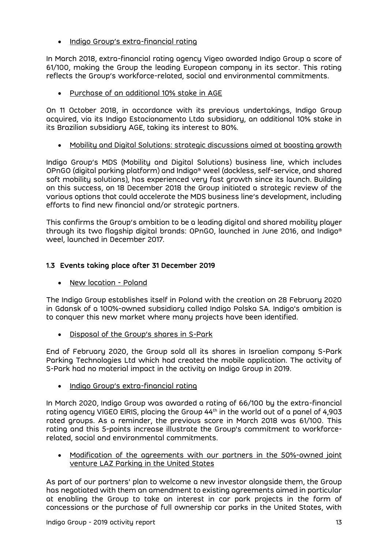• Indigo Group's extra-financial rating

In March 2018, extra-financial rating agency Vigeo awarded Indigo Group a score of 61/100, making the Group the leading European company in its sector. This rating reflects the Group's workforce-related, social and environmental commitments.

• Purchase of an additional 10% stake in AGE

On 11 October 2018, in accordance with its previous undertakings, Indigo Group acquired, via its Indigo Estacionamento Ltda subsidiary, an additional 10% stake in its Brazilian subsidiary AGE, taking its interest to 80%.

• Mobility and Digital Solutions: strategic discussions aimed at boosting growth

Indigo Group's MDS (Mobility and Digital Solutions) business line, which includes OPnGO (digital parking platform) and Indigo® weel (dockless, self-service, and shared soft mobility solutions), has experienced very fast growth since its launch. Building on this success, on 18 December 2018 the Group initiated a strategic review of the various options that could accelerate the MDS business line's development, including efforts to find new financial and/or strategic partners.

This confirms the Group's ambition to be a leading digital and shared mobility player through its two flagship digital brands: OPnGO, launched in June 2016, and Indigo® weel, launched in December 2017.

# <span id="page-12-0"></span>**1.3 Events taking place after 31 December 2019**

• New location - Poland

The Indigo Group establishes itself in Poland with the creation on 28 February 2020 in Gdansk of a 100%-owned subsidiary called Indigo Polska SA. Indigo's ambition is to conquer this new market where many projects have been identified.

• Disposal of the Group's shares in S-Park

End of February 2020, the Group sold all its shares in Israelian company S-Park Parking Technologies Ltd which had created the mobile application. The activity of S-Park had no material impact in the activity on Indigo Group in 2019.

• Indigo Group's extra-financial rating

In March 2020, Indigo Group was awarded a rating of 66/100 by the extra-financial rating agency VIGEO EIRIS, placing the Group 44<sup>th</sup> in the world out of a panel of 4,903 rated groups. As a reminder, the previous score in March 2018 was 61/100. This rating and this 5-points increase illustrate the Group's commitment to workforcerelated, social and environmental commitments.

• Modification of the agreements with our partners in the 50%-owned joint venture LAZ Parking in the United States

As part of our partners' plan to welcome a new investor alongside them, the Group has negotiated with them an amendment to existing agreements aimed in particular at enabling the Group to take an interest in car park projects in the form of concessions or the purchase of full ownership car parks in the United States, with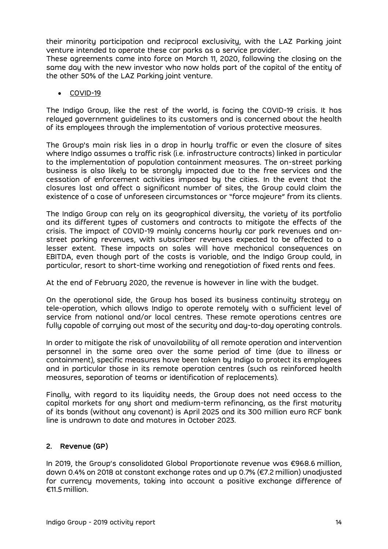their minority participation and reciprocal exclusivity, with the LAZ Parking joint venture intended to operate these car parks as a service provider.

These agreements came into force on March 11, 2020, following the closing on the same day with the new investor who now holds part of the capital of the entity of the other 50% of the LAZ Parking joint venture.

• COVID-19

The Indigo Group, like the rest of the world, is facing the COVID-19 crisis. It has relayed government guidelines to its customers and is concerned about the health of its employees through the implementation of various protective measures.

The Group's main risk lies in a drop in hourly traffic or even the closure of sites where Indigo assumes a traffic risk (i.e. infrastructure contracts) linked in particular to the implementation of population containment measures. The on-street parking business is also likely to be strongly impacted due to the free services and the cessation of enforcement activities imposed by the cities. In the event that the closures last and affect a significant number of sites, the Group could claim the existence of a case of unforeseen circumstances or "force majeure" from its clients.

The Indigo Group can rely on its geographical diversity, the variety of its portfolio and its different types of customers and contracts to mitigate the effects of the crisis. The impact of COVID-19 mainly concerns hourly car park revenues and onstreet parking revenues, with subscriber revenues expected to be affected to a lesser extent. These impacts on sales will have mechanical consequences on EBITDA, even though part of the costs is variable, and the Indigo Group could, in particular, resort to short-time working and renegotiation of fixed rents and fees.

At the end of February 2020, the revenue is however in line with the budget.

On the operational side, the Group has based its business continuity strategy on tele-operation, which allows Indigo to operate remotely with a sufficient level of service from national and/or local centres. These remote operations centres are fully capable of carrying out most of the security and day-to-day operating controls.

In order to mitigate the risk of unavailability of all remote operation and intervention personnel in the same area over the same period of time (due to illness or containment), specific measures have been taken by Indigo to protect its employees and in particular those in its remote operation centres (such as reinforced health measures, separation of teams or identification of replacements).

Finally, with regard to its liquidity needs, the Group does not need access to the capital markets for any short and medium-term refinancing, as the first maturity of its bonds (without any covenant) is April 2025 and its 300 million euro RCF bank line is undrawn to date and matures in October 2023.

# <span id="page-13-0"></span>**2. Revenue (GP)**

In 2019, the Group's consolidated Global Proportionate revenue was €968.6 million, down 0.4% on 2018 at constant exchange rates and up 0.7% (€7.2 million) unadjusted for currency movements, taking into account a positive exchange difference of €11.5 million.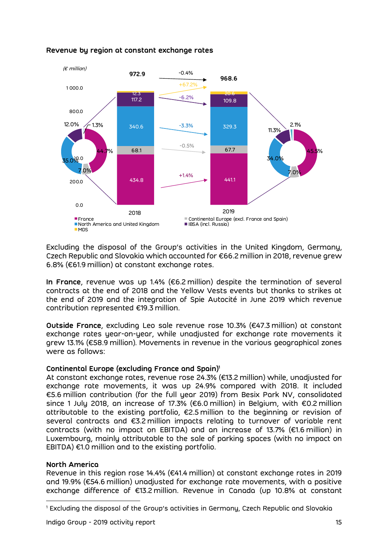

# **Revenue by region at constant exchange rates**

Excluding the disposal of the Group's activities in the United Kingdom, Germany, Czech Republic and Slovakia which accounted for €66.2 million in 2018, revenue grew 6.8% (€61.9 million) at constant exchange rates.

**In France**, revenue was up 1.4% (€6.2 million) despite the termination of several contracts at the end of 2018 and the Yellow Vests events but thanks to strikes at the end of 2019 and the integration of Spie Autocité in June 2019 which revenue contribution represented €19.3 million.

**Outside France**, excluding Leo sale revenue rose 10.3% (€47.3 million) at constant exchange rates year-on-year, while unadjusted for exchange rate movements it grew 13.1% (€58.9 million). Movements in revenue in the various geographical zones were as follows:

#### **Continental Europe (excluding France and Spain)<sup>1</sup>**

At constant exchange rates, revenue rose 24.3% (€13.2 million) while, unadjusted for exchange rate movements, it was up 24.9% compared with 2018. It included €5.6 million contribution (for the full year 2019) from Besix Park NV, consolidated since 1 July 2018, an increase of 17.3% (€6.0 million) in Belgium, with €0.2 million attributable to the existing portfolio, €2.5 million to the beginning or revision of several contracts and €3.2 million impacts relating to turnover of variable rent contracts (with no impact on EBITDA) and an increase of 13.7% (€1.6 million) in Luxembourg, mainly attributable to the sale of parking spaces (with no impact on EBITDA)  $\epsilon$ 1.0 million and to the existing portfolio.

#### **North America**

Revenue in this region rose 14.4% (€41.4 million) at constant exchange rates in 2019 and 19.9% (€54.6 million) unadjusted for exchange rate movements, with a positive exchange difference of €13.2 million. Revenue in Canada (up 10.8% at constant

<sup>1</sup> Excluding the disposal of the Group's activities in Germany, Czech Republic and Slovakia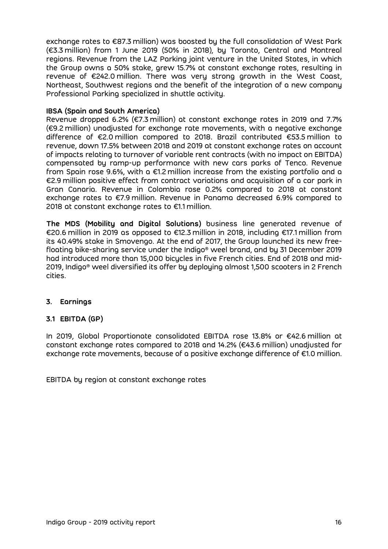exchange rates to €87.3 million) was boosted by the full consolidation of West Park (€3.3 million) from 1 June 2019 (50% in 2018), by Toronto, Central and Montreal regions. Revenue from the LAZ Parking joint venture in the United States, in which the Group owns a 50% stake, grew 15.7% at constant exchange rates, resulting in revenue of €242.0 million. There was very strong growth in the West Coast, Northeast, Southwest regions and the benefit of the integration of a new company Professional Parking specialized in shuttle activity.

## **IBSA (Spain and South America)**

Revenue dropped 6.2% (€7.3 million) at constant exchange rates in 2019 and 7.7% (€9.2 million) unadjusted for exchange rate movements, with a negative exchange difference of €2.0 million compared to 2018. Brazil contributed €53.5 million to revenue, down 17.5% between 2018 and 2019 at constant exchange rates on account of impacts relating to turnover of variable rent contracts (with no impact on EBITDA) compensated by ramp-up performance with new cars parks of Tenco. Revenue from Spain rose 9.6%, with a €1.2 million increase from the existing portfolio and a €2.9 million positive effect from contract variations and acquisition of a car park in Gran Canaria. Revenue in Colombia rose 0.2% compared to 2018 at constant exchange rates to €7.9 million. Revenue in Panama decreased 6.9% compared to 2018 at constant exchange rates to €1.1 million.

**The MDS (Mobility and Digital Solutions)** business line generated revenue of €20.6 million in 2019 as opposed to €12.3 million in 2018, including €17.1 million from its 40.49% stake in Smovengo. At the end of 2017, the Group launched its new freefloating bike-sharing service under the Indigo® weel brand, and by 31 December 2019 had introduced more than 15,000 bicycles in five French cities. End of 2018 and mid-2019, Indigo® weel diversified its offer by deploying almost 1,500 scooters in 2 French cities.

# <span id="page-15-0"></span>**3. Earnings**

# <span id="page-15-1"></span>**3.1 EBITDA (GP)**

In 2019, Global Proportionate consolidated EBITDA rose 13.8% or €42.6 million at constant exchange rates compared to 2018 and 14.2% (€43.6 million) unadjusted for exchange rate movements, because of a positive exchange difference of €1.0 million.

EBITDA by region at constant exchange rates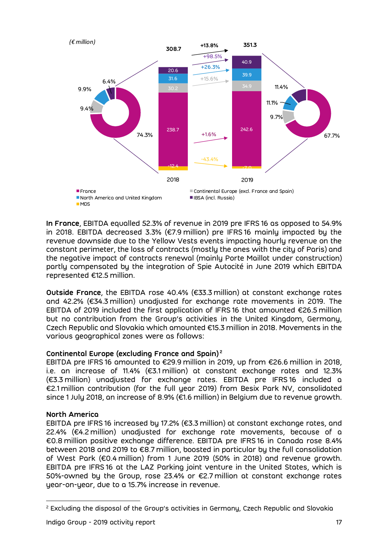

**In France**, EBITDA equalled 52.3% of revenue in 2019 pre IFRS 16 as opposed to 54.9% in 2018. EBITDA decreased 3.3% (€7.9 million) pre IFRS 16 mainly impacted by the revenue downside due to the Yellow Vests events impacting hourly revenue on the constant perimeter, the loss of contracts (mostly the ones with the city of Paris) and the negative impact of contracts renewal (mainly Porte Maillot under construction) partly compensated by the integration of Spie Autocité in June 2019 which EBITDA represented €12.5 million.

**Outside France**, the EBITDA rose 40.4% (€33.3 million) at constant exchange rates and 42.2% (€34.3 million) unadjusted for exchange rate movements in 2019. The EBITDA of 2019 included the first application of IFRS 16 that amounted €26.5 million but no contribution from the Group's activities in the United Kingdom, Germany, Czech Republic and Slovakia which amounted €15.3 million in 2018. Movements in the various geographical zones were as follows:

# **Continental Europe (excluding France and Spain) <sup>2</sup>**

EBITDA pre IFRS 16 amounted to €29.9 million in 2019, up from €26.6 million in 2018, i.e. an increase of 11.4% (€3.1 million) at constant exchange rates and 12.3% (€3.3 million) unadjusted for exchange rates. EBITDA pre IFRS 16 included a €2.1 million contribution (for the full year 2019) from Besix Park NV, consolidated since 1 July 2018, an increase of 8.9% (€1.6 million) in Belgium due to revenue growth.

# **North America**

EBITDA pre IFRS 16 increased by 17.2% (€3.3 million) at constant exchange rates, and 22.4% (€4.2 million) unadjusted for exchange rate movements, because of a €0.8 million positive exchange difference. EBITDA pre IFRS 16 in Canada rose 8.4% between 2018 and 2019 to €8.7 million, boosted in particular by the full consolidation of West Park (€0.4 million) from 1 June 2019 (50% in 2018) and revenue growth. EBITDA pre IFRS 16 at the LAZ Parking joint venture in the United States, which is 50%-owned by the Group, rose 23.4% or €2.7 million at constant exchange rates year-on-year, due to a 15.7% increase in revenue.

<sup>2</sup> Excluding the disposal of the Group's activities in Germany, Czech Republic and Slovakia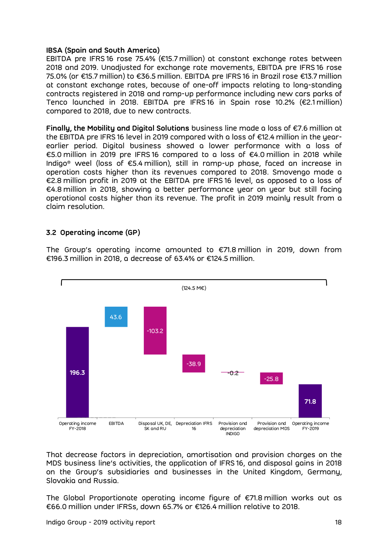#### **IBSA (Spain and South America)**

EBITDA pre IFRS 16 rose 75.4% (€15.7 million) at constant exchange rates between 2018 and 2019. Unadjusted for exchange rate movements, EBITDA pre IFRS 16 rose 75.0% (or €15.7 million) to €36.5 million. EBITDA pre IFRS 16 in Brazil rose €13.7 million at constant exchange rates, because of one-off impacts relating to long-standing contracts registered in 2018 and ramp-up performance including new cars parks of Tenco launched in 2018. EBITDA pre IFRS 16 in Spain rose 10.2% (€2.1 million) compared to 2018, due to new contracts.

**Finally, the Mobility and Digital Solutions** business line made a loss of €7.6 million at the EBITDA pre IFRS 16 level in 2019 compared with a loss of €12.4 million in the yearearlier period. Digital business showed a lower performance with a loss of €5.0 million in 2019 pre IFRS 16 compared to a loss of €4.0 million in 2018 while Indigo® weel (loss of €5.4 million), still in ramp-up phase, faced an increase in operation costs higher than its revenues compared to 2018. Smovengo made a €2.8 million profit in 2019 at the EBITDA pre IFRS 16 level, as opposed to a loss of €4.8 million in 2018, showing a better performance year on year but still facing operational costs higher than its revenue. The profit in 2019 mainly result from a claim resolution.

#### <span id="page-17-0"></span>**3.2 Operating income (GP)**

The Group's operating income amounted to €71.8 million in 2019, down from €196.3 million in 2018, a decrease of 63.4% or €124.5 million.



That decrease factors in depreciation, amortisation and provision charges on the MDS business line's activities, the application of IFRS 16, and disposal gains in 2018 on the Group's subsidiaries and businesses in the United Kingdom, Germany, Slovakia and Russia.

The Global Proportionate operating income figure of €71.8 million works out as €66.0 million under IFRSs, down 65.7% or €126.4 million relative to 2018.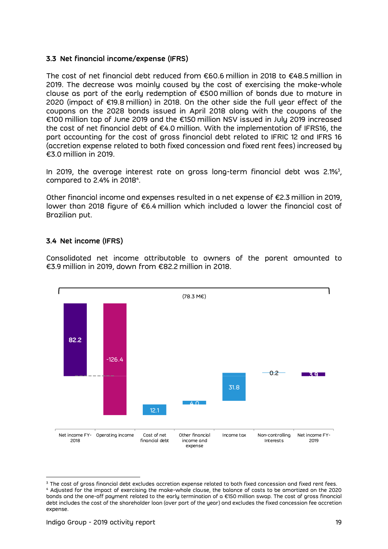# <span id="page-18-0"></span>**3.3 Net financial income/expense (IFRS)**

The cost of net financial debt reduced from €60.6 million in 2018 to €48.5 million in 2019. The decrease was mainly caused by the cost of exercising the make-whole clause as part of the early redemption of  $\epsilon$ 500 million of bonds due to mature in 2020 (impact of €19.8 million) in 2018. On the other side the full year effect of the coupons on the 2028 bonds issued in April 2018 along with the coupons of the €100 million tap of June 2019 and the €150 million NSV issued in July 2019 increased the cost of net financial debt of €4.0 million. With the implementation of IFRS16, the part accounting for the cost of gross financial debt related to IFRIC 12 and IFRS 16 (accretion expense related to both fixed concession and fixed rent fees) increased by €3.0 million in 2019.

In 2019, the average interest rate on gross long-term financial debt was 2.1% $^3\!$ , compared to 2.4% in 2018 $^4$ .

Other financial income and expenses resulted in a net expense of €2.3 million in 2019, lower than 2018 figure of €6.4 million which included a lower the financial cost of Brazilian put.

# <span id="page-18-1"></span>**3.4 Net income (IFRS)**

Consolidated net income attributable to owners of the parent amounted to €3.9 million in 2019, down from €82.2 million in 2018.



<sup>&</sup>lt;sup>3</sup> The cost of gross financial debt excludes accretion expense related to both fixed concession and fixed rent fees. <sup>4</sup> Adjusted for the impact of exercising the make-whole clause, the balance of costs to be amortized on the 2020 bonds and the one-off payment related to the early termination of a €150 million swap. The cost of gross financial debt includes the cost of the shareholder loan (over part of the year) and excludes the fixed concession fee accretion expense.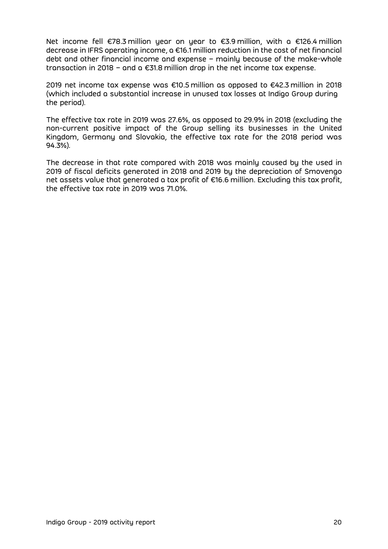Net income fell €78.3 million year on year to €3.9 million, with a €126.4 million decrease in IFRS operating income, a €16.1 million reduction in the cost of net financial debt and other financial income and expense – mainly because of the make-whole transaction in 2018 – and a €31.8 million drop in the net income tax expense.

2019 net income tax expense was €10.5 million as opposed to €42.3 million in 2018 (which included a substantial increase in unused tax losses at Indigo Group during the period).

The effective tax rate in 2019 was 27.6%, as opposed to 29.9% in 2018 (excluding the non-current positive impact of the Group selling its businesses in the United Kingdom, Germany and Slovakia, the effective tax rate for the 2018 period was 94.3%).

The decrease in that rate compared with 2018 was mainly caused by the used in 2019 of fiscal deficits generated in 2018 and 2019 by the depreciation of Smovengo net assets value that generated a tax profit of €16.6 million. Excluding this tax profit, the effective tax rate in 2019 was 71.0%.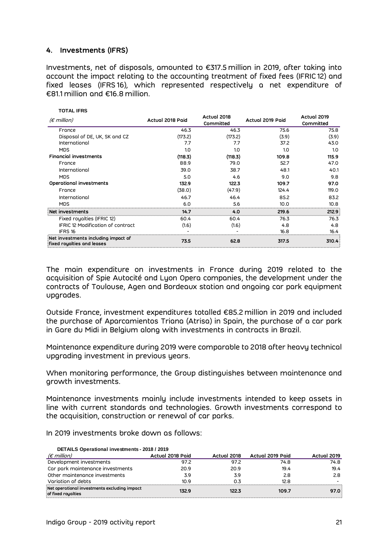## <span id="page-20-0"></span>**4. Investments (IFRS)**

**TOTAL IFRS**

Investments, net of disposals, amounted to €317.5 million in 2019, after taking into account the impact relating to the accounting treatment of fixed fees (IFRIC 12) and fixed leases (IFRS 16), which represented respectively a net expenditure of €81.1 million and €16.8 million.

| TUTAL IFRJ                                                               |                  |                          |                  |                          |
|--------------------------------------------------------------------------|------------------|--------------------------|------------------|--------------------------|
| $(\epsilon$ million)                                                     | Actual 2018 Paid | Actual 2018<br>Committed | Actual 2019 Paid | Actual 2019<br>Committed |
| France                                                                   | 46.3             | 46.3                     | 75.6             | 75.8                     |
| Disposal of DE, UK, SK and CZ                                            | (173.2)          | (173.2)                  | (3.9)            | (3.9)                    |
| International                                                            | 7.7              | 7.7                      | 37.2             | 43.0                     |
| <b>MDS</b>                                                               | 1.0              | 1.0                      | 1.0              | 1.0                      |
| <b>Financial investments</b>                                             | (118.3)          | (118.3)                  | 109.8            | 115.9                    |
| France                                                                   | 88.9             | 79.0                     | 52.7             | 47.0                     |
| International                                                            | 39.0             | 38.7                     | 48.1             | 40.1                     |
| <b>MDS</b>                                                               | 5.0              | 4.6                      | 9.0              | 9.8                      |
| Operational investments                                                  | 132.9            | 122.3                    | 109.7            | 97.0                     |
| France                                                                   | (38.0)           | (47.9)                   | 124.4            | 119.0                    |
| International                                                            | 46.7             | 46.4                     | 85.2             | 83.2                     |
| <b>MDS</b>                                                               | 6.0              | 5.6                      | 10.0             | 10.8                     |
| Net investments                                                          | 14.7             | 4.0                      | 219.6            | 212.9                    |
| Fixed roughties (IFRIC 12)                                               | 60.4             | 60.4                     | 76.3             | 76.3                     |
| IFRIC 12 Modification of contract                                        | (1.6)            | (1.6)                    | 4.8              | 4.8                      |
| IFRS 16                                                                  |                  |                          | 16.8             | 16.4                     |
| Net investments including impact of<br><b>fixed royalties and leases</b> | 73.5             | 62.8                     | 317.5            | 310.4                    |

The main expenditure on investments in France during 2019 related to the acquisition of Spie Autocité and Lyon Opera companies, the development under the contracts of Toulouse, Agen and Bordeaux station and ongoing car park equipment upgrades.

Outside France, investment expenditures totalled €85.2 million in 2019 and included the purchase of Aparcamientos Triana (Atrisa) in Spain, the purchase of a car park in Gare du Midi in Belgium along with investments in contracts in Brazil.

Maintenance expenditure during 2019 were comparable to 2018 after heavy technical upgrading investment in previous years.

When monitoring performance, the Group distinguishes between maintenance and growth investments.

Maintenance investments mainly include investments intended to keep assets in line with current standards and technologies. Growth investments correspond to the acquisition, construction or renewal of car parks.

| In 2019 investments broke down as follows: |  |  |  |  |
|--------------------------------------------|--|--|--|--|
|--------------------------------------------|--|--|--|--|

| DETAILS Operational investments - 2018 / 2019                      |                  |             |                  |             |  |  |  |  |
|--------------------------------------------------------------------|------------------|-------------|------------------|-------------|--|--|--|--|
| $(\epsilon$ million)                                               | Actual 2018 Paid | Actual 2018 | Actual 2019 Paid | Actual 2019 |  |  |  |  |
| Development investments                                            | 97.2             | 97.2        | 74.8             | 74.8        |  |  |  |  |
| Car park maintenance investments                                   | 20.9             | 20.9        | 19.4             | 19.4        |  |  |  |  |
| Other maintenance investments                                      | 3.9              | 3.9         | 2.8              | 2.8         |  |  |  |  |
| Variation of debts                                                 | 1N 9             | በ 3         | 12 R             |             |  |  |  |  |
| Net operational investments excluding impact<br>of fixed royalties | 132.9            | 122.3       | 109.7            | 97.0        |  |  |  |  |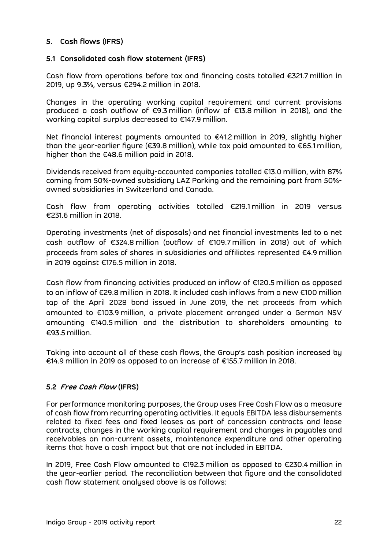# <span id="page-21-0"></span>**5. Cash flows (IFRS)**

#### <span id="page-21-1"></span>**5.1 Consolidated cash flow statement (IFRS)**

Cash flow from operations before tax and financing costs totalled €321.7 million in 2019, up 9.3%, versus €294.2 million in 2018.

Changes in the operating working capital requirement and current provisions produced a cash outflow of €9.3 million (inflow of €13.8 million in 2018), and the working capital surplus decreased to €147.9 million.

Net financial interest payments amounted to €41.2 million in 2019, slightly higher than the year-earlier figure (€39.8 million), while tax paid amounted to €65.1 million, higher than the €48.6 million paid in 2018.

Dividends received from equity-accounted companies totalled €13.0 million, with 87% coming from 50%-owned subsidiary LAZ Parking and the remaining part from 50% owned subsidiaries in Switzerland and Canada.

Cash flow from operating activities totalled €219.1 million in 2019 versus €231.6 million in 2018.

Operating investments (net of disposals) and net financial investments led to a net cash outflow of €324.8 million (outflow of €109.7 million in 2018) out of which proceeds from sales of shares in subsidiaries and affiliates represented €4.9 million in 2019 against €176.5 million in 2018.

Cash flow from financing activities produced an inflow of €120.5 million as opposed to an inflow of €29.8 million in 2018. It included cash inflows from a new €100 million tap of the April 2028 bond issued in June 2019, the net proceeds from which amounted to €103.9 million, a private placement arranged under a German NSV amounting €140.5 million and the distribution to shareholders amounting to €93.5 million.

Taking into account all of these cash flows, the Group's cash position increased by €14.9 million in 2019 as opposed to an increase of €155.7 million in 2018.

# <span id="page-21-2"></span>**5.2 Free Cash Flow (IFRS)**

For performance monitoring purposes, the Group uses Free Cash Flow as a measure of cash flow from recurring operating activities. It equals EBITDA less disbursements related to fixed fees and fixed leases as part of concession contracts and lease contracts, changes in the working capital requirement and changes in payables and receivables on non-current assets, maintenance expenditure and other operating items that have a cash impact but that are not included in EBITDA.

In 2019, Free Cash Flow amounted to €192.3 million as opposed to €230.4 million in the year-earlier period. The reconciliation between that figure and the consolidated cash flow statement analysed above is as follows: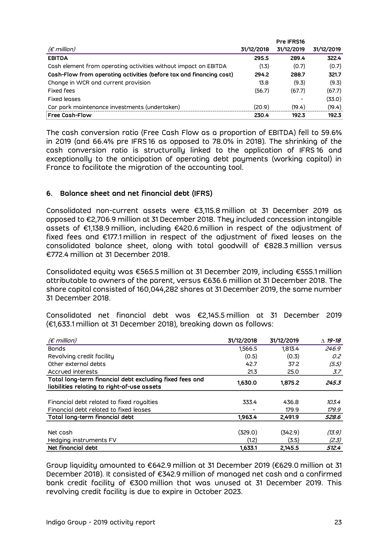|                                                                     |            | Pre IFRS16 |            |
|---------------------------------------------------------------------|------------|------------|------------|
| (€ million)                                                         | 31/12/2018 | 31/12/2019 | 31/12/2019 |
| <b>EBITDA</b>                                                       | 295.5      | 289.4      | 322.4      |
| Cash element from operating activities without impact on EBITDA     | (1.3)      | (0.7)      | (0.7)      |
| Cash-Flow from operating activities (before tax and financing cost) | 294.2      | 288.7      | 321.7      |
| Change in WCR and current provision                                 | 13.8       | (9.3)      | (9.3)      |
| <b>Fixed fees</b>                                                   | (56.7)     | (67.7)     | (67.7)     |
| <b>Fixed leases</b>                                                 |            |            | (33.0)     |
| Car park maintenance investments (undertaken)                       | (20.9)     | (19.4)     | (19.4)     |
| <b>Free Cash-Flow</b>                                               | 230.4      | 192.3      | 192.3      |

The cash conversion ratio (Free Cash Flow as a proportion of EBITDA) fell to 59.6% in 2019 (and 66.4% pre IFRS 16 as opposed to 78.0% in 2018). The shrinking of the cash conversion ratio is structurally linked to the application of IFRS 16 and exceptionally to the anticipation of operating debt payments (working capital) in France to facilitate the migration of the accounting tool.

## <span id="page-22-0"></span>**6. Balance sheet and net financial debt (IFRS)**

Consolidated non-current assets were €3,115.8 million at 31 December 2019 as opposed to €2,706.9 million at 31 December 2018. They included concession intangible assets of €1,138.9 million, including €420.6 million in respect of the adjustment of fixed fees and €177.1 million in respect of the adjustment of fixed leases on the consolidated balance sheet, along with total goodwill of €828.3 million versus €772.4 million at 31 December 2018.

Consolidated equity was €565.5 million at 31 December 2019, including €555.1 million attributable to owners of the parent, versus €636.6 million at 31 December 2018. The share capital consisted of 160,044,282 shares at 31 December 2019, the same number 31 December 2018.

Consolidated net financial debt was €2,145.5 million at 31 December 2019 (€1,633.1 million at 31 December 2018), breaking down as follows:

| $(\epsilon$ million)                                    | 31/12/2018 | 31/12/2019 | $\triangle$ 19-18 |
|---------------------------------------------------------|------------|------------|-------------------|
| <b>Bonds</b>                                            | 1,566.5    | 1.813.4    | 246.9             |
| Revolving credit facility                               | (0.5)      | (0.3)      | 0.2               |
| Other external debts                                    | 42.7       | 37.2       | (5.5)             |
| Accrued interests                                       | 21.3       | 25.0       | 3.7               |
| Total long-term financial debt excluding fixed fees and | 1,630.0    | 1,875.2    | 245.3             |
| liabilities relating to right-of-use assets             |            |            |                   |
|                                                         |            |            |                   |
| Financial debt related to fixed royalties               | 333.4      | 436.8      | 103.4             |
| Financial debt related to fixed leases                  |            | 179.9      | 179.9             |
| Total long-term financial debt                          | 1,963.4    | 2.491.9    | 528.6             |
|                                                         |            |            |                   |
| Net cash                                                | (329.0)    | (342.9)    | (13.9)            |
| Hedging instruments FV                                  | (1.2)      | (3.5)      | (2.3)             |
| Net financial debt                                      | 1,633.1    | 2.145.5    | 512.4             |

Group liquidity amounted to €642.9 million at 31 December 2019 (€629.0 million at 31 December 2018). It consisted of €342.9 million of managed net cash and a confirmed bank credit facility of €300 million that was unused at 31 December 2019. This revolving credit facility is due to expire in October 2023.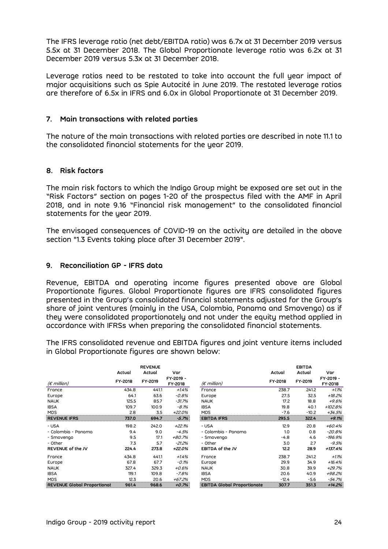The IFRS leverage ratio (net debt/EBITDA ratio) was 6.7x at 31 December 2019 versus 5.5x at 31 December 2018. The Global Proportionate leverage ratio was 6.2x at 31 December 2019 versus 5.3x at 31 December 2018.

Leverage ratios need to be restated to take into account the full year impact of major acquisitions such as Spie Autocité in June 2019. The restated leverage ratios are therefore of 6.5x in IFRS and 6.0x in Global Proportionate at 31 December 2019.

#### <span id="page-23-0"></span>**7. Main transactions with related parties**

The nature of the main transactions with related parties are described in note 11.1 to the consolidated financial statements for the year 2019.

## <span id="page-23-1"></span>**8. Risk factors**

The main risk factors to which the Indigo Group might be exposed are set out in the "Risk Factors" section on pages 1-20 of the prospectus filed with the AMF in April 2018, and in note 9.16 "Financial risk management" to the consolidated financial statements for the year 2019.

The envisaged consequences of COVID-19 on the activity are detailed in the above section "1.3 Events taking place after 31 December 2019".

## <span id="page-23-2"></span>**9. Reconciliation GP - IFRS data**

Revenue, EBITDA and operating income figures presented above are Global Proportionate figures. Global Proportionate figures are IFRS consolidated figures presented in the Group's consolidated financial statements adjusted for the Group's share of joint ventures (mainly in the USA, Colombia, Panama and Smovengo) as if they were consolidated proportionately and not under the equity method applied in accordance with IFRSs when preparing the consolidated financial statements.

The IFRS consolidated revenue and EBITDA figures and joint venture items included in Global Proportionate figures are shown below:

|                                    | Actual  | <b>REVENUE</b><br>Actual | Var                  |                                    | Actual  | <b>EBITDA</b><br>Actual | Var                  |
|------------------------------------|---------|--------------------------|----------------------|------------------------------------|---------|-------------------------|----------------------|
| $(\epsilon$ million)               | FY-2018 | FY-2019                  | FY-2019 -<br>FY-2018 | $(\epsilon$ million)               | FY-2018 | FY-2019                 | FY-2019 -<br>FY-2018 |
| France                             | 434.8   | 441.1                    | $+1.4%$              | France                             | 238.7   | 241.2                   | $+1.1%$              |
| Europe                             | 64.1    | 63.6                     | $-0.8%$              | Europe                             | 27.5    | 32.5                    | $+18.2%$             |
| <b>NAUK</b>                        | 125.5   | 85.7                     | $-31.7%$             | <b>NAUK</b>                        | 17.2    | 18.8                    | $+9.6%$              |
| <b>IBSA</b>                        | 109.7   | 100.9                    | $-8.1%$              | <b>IBSA</b>                        | 19.8    | 40.1                    | +102.8%              |
| <b>MDS</b>                         | 2.8     | 3.5                      | $+22.0%$             | <b>MDS</b>                         | $-7.6$  | $-10.2$                 | $+34.5%$             |
| <b>REVENUE IFRS</b>                | 737.0   | 694.7                    | $-5.7%$              | <b>EBITDA IFRS</b>                 | 295.5   | 322.4                   | $+9.1%$              |
| - USA                              | 198.2   | 242.0                    | $+22.1%$             | - USA                              | 12.9    | 20.8                    | $+60.4%$             |
| - Colombia - Panama                | 9.4     | 9.0                      | $-4.5%$              | - Colombia - Panama                | 1.0     | 0.8                     | $-20.8%$             |
| - Smovengo                         | 9.5     | 17.1                     | +80.7%               | - Smovengo                         | $-4.8$  | 4.6                     | $-196.9%$            |
| - Other                            | 7.3     | 5.7                      | $-21.2%$             | - Other                            | 3.0     | 2.7                     | $-9.5%$              |
| REVENUE of the JV                  | 224.4   | 273.8                    | +22.0%               | EBITDA of the JV                   | 12.2    | 28.9                    | +137.4%              |
| France                             | 434.8   | 441.1                    | $+1.4%$              | France                             | 238.7   | 241.2                   | $+1.1%$              |
| Europe                             | 67.8    | 67.7                     | $-0.1%$              | Europe                             | 29.9    | 34.9                    | $+16.4%$             |
| <b>NAUK</b>                        | 327.4   | 329.3                    | $+0.6%$              | <b>NAUK</b>                        | 30.8    | 39.9                    | $+29.7%$             |
| <b>IBSA</b>                        | 119.1   | 109.8                    | $-7.8%$              | <b>IBSA</b>                        | 20.6    | 40.9                    | +98.2%               |
| <b>MDS</b>                         | 12.3    | 20.6                     | +67.2%               | <b>MDS</b>                         | $-12.4$ | $-5.6$                  | $-54.7%$             |
| <b>REVENUE Global Proportional</b> | 961.4   | 968.6                    | $+0.7%$              | <b>EBITDA Global Proportionate</b> | 307.7   | 351.3                   | $+14.2%$             |